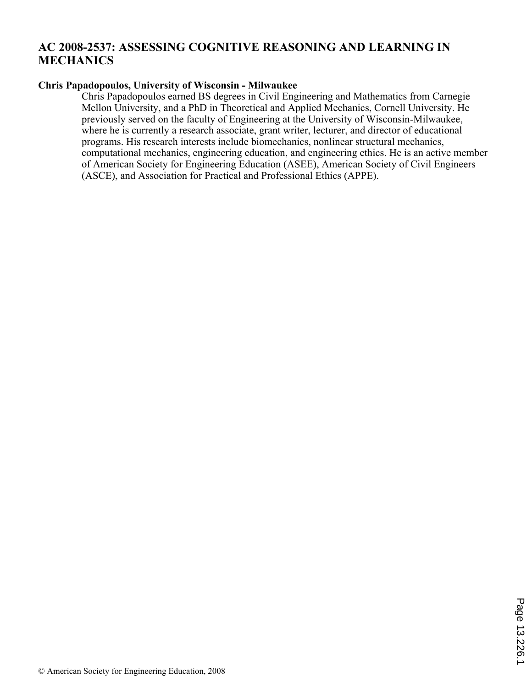# **AC 2008-2537: ASSESSING COGNITIVE REASONING AND LEARNING IN MECHANICS**

#### **Chris Papadopoulos, University of Wisconsin - Milwaukee**

Chris Papadopoulos earned BS degrees in Civil Engineering and Mathematics from Carnegie Mellon University, and a PhD in Theoretical and Applied Mechanics, Cornell University. He previously served on the faculty of Engineering at the University of Wisconsin-Milwaukee, where he is currently a research associate, grant writer, lecturer, and director of educational programs. His research interests include biomechanics, nonlinear structural mechanics, computational mechanics, engineering education, and engineering ethics. He is an active member of American Society for Engineering Education (ASEE), American Society of Civil Engineers (ASCE), and Association for Practical and Professional Ethics (APPE).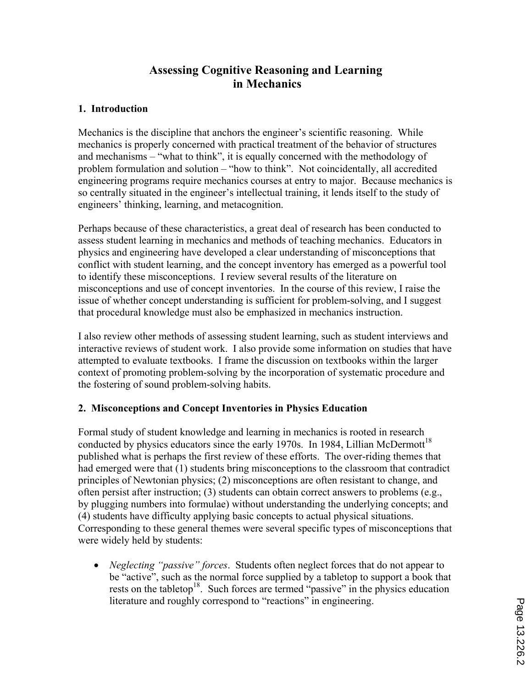# **Assessing Cognitive Reasoning and Learning in Mechanics**

## **1. Introduction**

Mechanics is the discipline that anchors the engineer's scientific reasoning. While mechanics is properly concerned with practical treatment of the behavior of structures and mechanisms – "what to think", it is equally concerned with the methodology of problem formulation and solution – "how to think". Not coincidentally, all accredited engineering programs require mechanics courses at entry to major. Because mechanics is so centrally situated in the engineer's intellectual training, it lends itself to the study of engineers' thinking, learning, and metacognition.

Perhaps because of these characteristics, a great deal of research has been conducted to assess student learning in mechanics and methods of teaching mechanics. Educators in physics and engineering have developed a clear understanding of misconceptions that conflict with student learning, and the concept inventory has emerged as a powerful tool to identify these misconceptions. I review several results of the literature on misconceptions and use of concept inventories. In the course of this review, I raise the issue of whether concept understanding is sufficient for problem-solving, and I suggest that procedural knowledge must also be emphasized in mechanics instruction.

I also review other methods of assessing student learning, such as student interviews and interactive reviews of student work. I also provide some information on studies that have attempted to evaluate textbooks. I frame the discussion on textbooks within the larger context of promoting problem-solving by the incorporation of systematic procedure and the fostering of sound problem-solving habits.

## **2. Misconceptions and Concept Inventories in Physics Education**

Formal study of student knowledge and learning in mechanics is rooted in research conducted by physics educators since the early 1970s. In 1984, Lillian McDermott<sup>18</sup> published what is perhaps the first review of these efforts. The over-riding themes that had emerged were that (1) students bring misconceptions to the classroom that contradict principles of Newtonian physics; (2) misconceptions are often resistant to change, and often persist after instruction; (3) students can obtain correct answers to problems (e.g., by plugging numbers into formulae) without understanding the underlying concepts; and (4) students have difficulty applying basic concepts to actual physical situations. Corresponding to these general themes were several specific types of misconceptions that were widely held by students:

• *Neglecting "passive" forces*. Students often neglect forces that do not appear to be "active", such as the normal force supplied by a tabletop to support a book that rests on the tabletop<sup>18</sup>. Such forces are termed "passive" in the physics education literature and roughly correspond to "reactions" in engineering.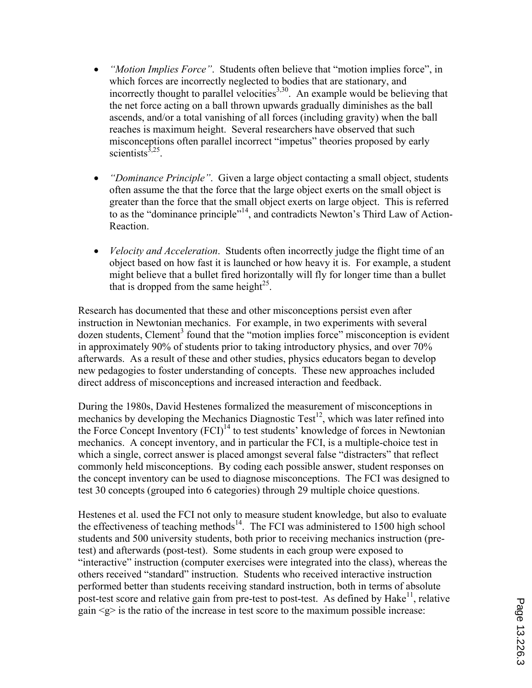- '" *"Motion Implies Force"*. Students often believe that "motion implies force", in which forces are incorrectly neglected to bodies that are stationary, and incorrectly thought to parallel velocities $3,30$ . An example would be believing that the net force acting on a ball thrown upwards gradually diminishes as the ball ascends, and/or a total vanishing of all forces (including gravity) when the ball reaches is maximum height. Several researchers have observed that such misconceptions often parallel incorrect "impetus" theories proposed by early scientists $^{3,25}$ .
- '" *"Dominance Principle"*. Given a large object contacting a small object, students often assume the that the force that the large object exerts on the small object is greater than the force that the small object exerts on large object. This is referred to as the "dominance principle"<sup>14</sup>, and contradicts Newton's Third Law of Action-Reaction.
- *Velocity and Acceleration*. Students often incorrectly judge the flight time of an object based on how fast it is launched or how heavy it is. For example, a student might believe that a bullet fired horizontally will fly for longer time than a bullet that is dropped from the same height<sup>25</sup>.

Research has documented that these and other misconceptions persist even after instruction in Newtonian mechanics. For example, in two experiments with several dozen students, Clement<sup>3</sup> found that the "motion implies force" misconception is evident in approximately 90% of students prior to taking introductory physics, and over 70% afterwards. As a result of these and other studies, physics educators began to develop new pedagogies to foster understanding of concepts. These new approaches included direct address of misconceptions and increased interaction and feedback.

During the 1980s, David Hestenes formalized the measurement of misconceptions in mechanics by developing the Mechanics Diagnostic Test<sup>12</sup>, which was later refined into the Force Concept Inventory  $(FCI)^{14}$  to test students' knowledge of forces in Newtonian mechanics. A concept inventory, and in particular the FCI, is a multiple-choice test in which a single, correct answer is placed amongst several false "distracters" that reflect commonly held misconceptions. By coding each possible answer, student responses on the concept inventory can be used to diagnose misconceptions. The FCI was designed to test 30 concepts (grouped into 6 categories) through 29 multiple choice questions.

Hestenes et al. used the FCI not only to measure student knowledge, but also to evaluate the effectiveness of teaching methods $14$ . The FCI was administered to 1500 high school students and 500 university students, both prior to receiving mechanics instruction (pretest) and afterwards (post-test). Some students in each group were exposed to "interactive" instruction (computer exercises were integrated into the class), whereas the others received "standard" instruction. Students who received interactive instruction performed better than students receiving standard instruction, both in terms of absolute post-test score and relative gain from pre-test to post-test. As defined by  $Hake<sup>11</sup>$ , relative gain  $\leq g$  is the ratio of the increase in test score to the maximum possible increase: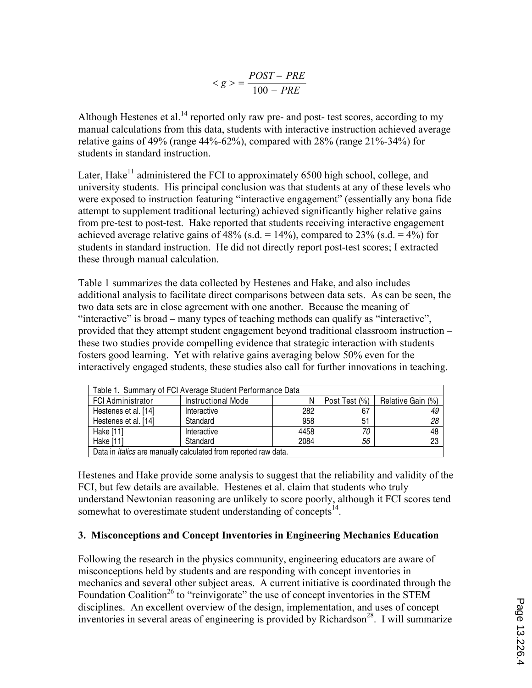$$
\langle g \rangle = \frac{POST - PRE}{100 - PRE}
$$

Although Hestenes et al.<sup>14</sup> reported only raw pre- and post- test scores, according to my manual calculations from this data, students with interactive instruction achieved average relative gains of 49% (range 44%-62%), compared with 28% (range  $21\%$ -34%) for students in standard instruction.

Later, Hake<sup>11</sup> administered the FCI to approximately 6500 high school, college, and university students. His principal conclusion was that students at any of these levels who were exposed to instruction featuring "interactive engagement" (essentially any bona fide attempt to supplement traditional lecturing) achieved significantly higher relative gains from pre-test to post-test. Hake reported that students receiving interactive engagement achieved average relative gains of  $48\%$  (s.d. =  $14\%$ ), compared to  $23\%$  (s.d. =  $4\%$ ) for students in standard instruction. He did not directly report post-test scores; I extracted these through manual calculation.

Table 1 summarizes the data collected by Hestenes and Hake, and also includes additional analysis to facilitate direct comparisons between data sets. As can be seen, the two data sets are in close agreement with one another. Because the meaning of "interactive" is broad – many types of teaching methods can qualify as "interactive", provided that they attempt student engagement beyond traditional classroom instruction – these two studies provide compelling evidence that strategic interaction with students fosters good learning. Yet with relative gains averaging below 50% even for the interactively engaged students, these studies also call for further innovations in teaching.

| Table 1. Summary of FCI Average Student Performance Data               |                    |      |               |                   |  |
|------------------------------------------------------------------------|--------------------|------|---------------|-------------------|--|
| <b>FCI Administrator</b>                                               | Instructional Mode |      | Post Test (%) | Relative Gain (%) |  |
| Hestenes et al. [14]                                                   | Interactive        | 282  | 67            | 49                |  |
| Hestenes et al. [14]                                                   | Standard           | 958  | 51            | 28                |  |
| Hake [11]                                                              | Interactive        | 4458 | 70            | 48                |  |
| Hake [11]                                                              | Standard           | 2084 | 56            | 23                |  |
| Data in <i>italics</i> are manually calculated from reported raw data. |                    |      |               |                   |  |

Hestenes and Hake provide some analysis to suggest that the reliability and validity of the FCI, but few details are available. Hestenes et al. claim that students who truly understand Newtonian reasoning are unlikely to score poorly, although it FCI scores tend somewhat to overestimate student understanding of concepts<sup>14</sup>.

## **3. Misconceptions and Concept Inventories in Engineering Mechanics Education**

Following the research in the physics community, engineering educators are aware of misconceptions held by students and are responding with concept inventories in mechanics and several other subject areas. A current initiative is coordinated through the Foundation Coalition<sup>26</sup> to "reinvigorate" the use of concept inventories in the STEM disciplines. An excellent overview of the design, implementation, and uses of concept inventories in several areas of engineering is provided by Richardson<sup>28</sup>. I will summarize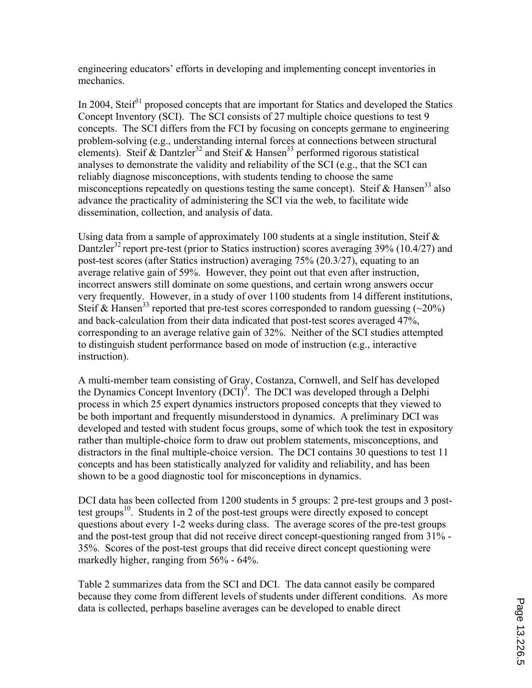engineering educators' efforts in developing and implementing concept inventories in mechanics.

In 2004, Steif<sup>31</sup> proposed concepts that are important for Statics and developed the Statics Concept Inventory (SCI). The SCI consists of 27 multiple choice questions to test 9 concepts. The SCI differs from the FCI by focusing on concepts germane to engineering problem-solving (e.g., understanding internal forces at connections between structural elements). Steif  $\&$  Dantzler<sup>32</sup> and Steif  $\&$  Hansen<sup>33</sup> performed rigorous statistical analyses to demonstrate the validity and reliability of the SCI (e.g., that the SCI can reliably diagnose misconceptions, with students tending to choose the same misconceptions repeatedly on questions testing the same concept). Steif  $& Hansen^{33}$  also advance the practicality of administering the SCI via the web, to facilitate wide dissemination, collection, and analysis of data.

Using data from a sample of approximately 100 students at a single institution, Steif  $\&$ Dantzler<sup>32</sup> report pre-test (prior to Statics instruction) scores averaging 39% (10.4/27) and post-test scores (after Statics instruction) averaging 75% (20.3/27), equating to an average relative gain of 59%. However, they point out that even after instruction, incorrect answers still dominate on some questions, and certain wrong answers occur very frequently. However, in a study of over 1100 students from 14 different institutions, Steif & Hansen<sup>33</sup> reported that pre-test scores corresponded to random guessing  $(\sim 20\%)$ and back-calculation from their data indicated that post-test scores averaged 47%, corresponding to an average relative gain of 32%. Neither of the SCI studies attempted to distinguish student performance based on mode of instruction (e.g., interactive instruction).

A multi-member team consisting of Gray, Costanza, Cornwell, and Self has developed the Dynamics Concept Inventory  $(DCI)^9$ . The DCI was developed through a Delphi process in which 25 expert dynamics instructors proposed concepts that they viewed to be both important and frequently misunderstood in dynamics. A preliminary DCI was developed and tested with student focus groups, some of which took the test in expository rather than multiple-choice form to draw out problem statements, misconceptions, and distractors in the final multiple-choice version. The DCI contains 30 questions to test 11 concepts and has been statistically analyzed for validity and reliability, and has been shown to be a good diagnostic tool for misconceptions in dynamics.

DCI data has been collected from 1200 students in 5 groups: 2 pre-test groups and 3 posttest groups<sup>10</sup>. Students in 2 of the post-test groups were directly exposed to concept questions about every 1-2 weeks during class. The average scores of the pre-test groups and the post-test group that did not receive direct concept-questioning ranged from 31% - 35%. Scores of the post-test groups that did receive direct concept questioning were markedly higher, ranging from 56% - 64%.

Table 2 summarizes data from the SCI and DCI. The data cannot easily be compared because they come from different levels of students under different conditions. As more data is collected, perhaps baseline averages can be developed to enable direct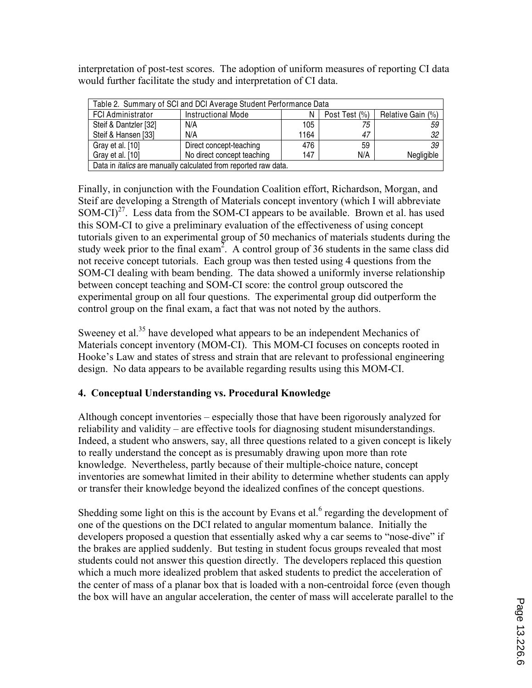interpretation of post-test scores. The adoption of uniform measures of reporting CI data would further facilitate the study and interpretation of CI data.

| Table 2. Summary of SCI and DCI Average Student Performance Data       |                            |      |               |                   |  |
|------------------------------------------------------------------------|----------------------------|------|---------------|-------------------|--|
| <b>FCI Administrator</b>                                               | <b>Instructional Mode</b>  | N    | Post Test (%) | Relative Gain (%) |  |
| Steif & Dantzler [32]                                                  | N/A                        | 105  | 75            | 59                |  |
| Steif & Hansen [33]                                                    | N/A                        | 1164 | 47            | 32                |  |
| Gray et al. [10]                                                       | Direct concept-teaching    | 476  | 59            | 39                |  |
| Gray et al. [10]                                                       | No direct concept teaching | 147  | N/A           | Negligible        |  |
| Data in <i>italics</i> are manually calculated from reported raw data. |                            |      |               |                   |  |

Finally, in conjunction with the Foundation Coalition effort, Richardson, Morgan, and Steif are developing a Strength of Materials concept inventory (which I will abbreviate  $SOM-CI$ <sup>27</sup>. Less data from the SOM-CI appears to be available. Brown et al. has used this SOM-CI to give a preliminary evaluation of the effectiveness of using concept tutorials given to an experimental group of 50 mechanics of materials students during the study week prior to the final exam<sup>2</sup>. A control group of 36 students in the same class did not receive concept tutorials. Each group was then tested using 4 questions from the SOM-CI dealing with beam bending. The data showed a uniformly inverse relationship between concept teaching and SOM-CI score: the control group outscored the experimental group on all four questions. The experimental group did outperform the control group on the final exam, a fact that was not noted by the authors.

Sweeney et al.<sup>35</sup> have developed what appears to be an independent Mechanics of Materials concept inventory (MOM-CI). This MOM-CI focuses on concepts rooted in Hooke's Law and states of stress and strain that are relevant to professional engineering design. No data appears to be available regarding results using this MOM-CI.

## **4. Conceptual Understanding vs. Procedural Knowledge**

Although concept inventories – especially those that have been rigorously analyzed for reliability and validity – are effective tools for diagnosing student misunderstandings. Indeed, a student who answers, say, all three questions related to a given concept is likely to really understand the concept as is presumably drawing upon more than rote knowledge. Nevertheless, partly because of their multiple-choice nature, concept inventories are somewhat limited in their ability to determine whether students can apply or transfer their knowledge beyond the idealized confines of the concept questions.

Shedding some light on this is the account by Evans et al. $<sup>6</sup>$  regarding the development of</sup> one of the questions on the DCI related to angular momentum balance. Initially the developers proposed a question that essentially asked why a car seems to "nose-dive" if the brakes are applied suddenly. But testing in student focus groups revealed that most students could not answer this question directly. The developers replaced this question which a much more idealized problem that asked students to predict the acceleration of the center of mass of a planar box that is loaded with a non-centroidal force (even though the box will have an angular acceleration, the center of mass will accelerate parallel to the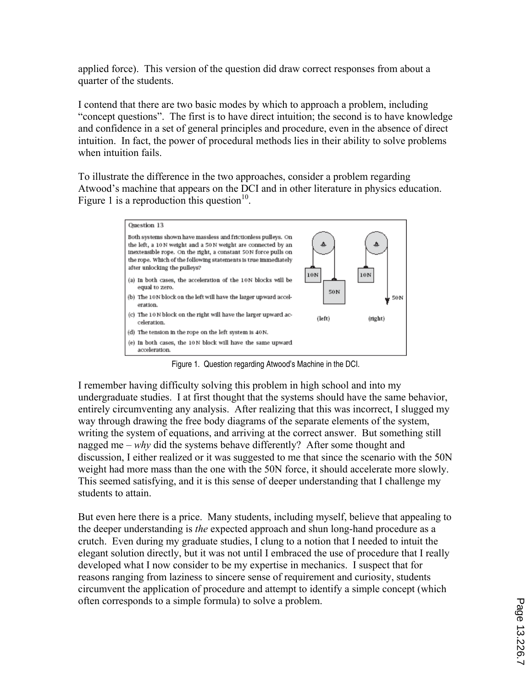applied force). This version of the question did draw correct responses from about a quarter of the students.

I contend that there are two basic modes by which to approach a problem, including "concept questions". The first is to have direct intuition; the second is to have knowledge and confidence in a set of general principles and procedure, even in the absence of direct intuition. In fact, the power of procedural methods lies in their ability to solve problems when intuition fails.

To illustrate the difference in the two approaches, consider a problem regarding Atwood's machine that appears on the DCI and in other literature in physics education. Figure 1 is a reproduction this question<sup>10</sup>.



Figure 1. Question regarding Atwood's Machine in the DCI.

I remember having difficulty solving this problem in high school and into my undergraduate studies. I at first thought that the systems should have the same behavior, entirely circumventing any analysis. After realizing that this was incorrect, I slugged my way through drawing the free body diagrams of the separate elements of the system, writing the system of equations, and arriving at the correct answer. But something still nagged me – *why* did the systems behave differently? After some thought and discussion, I either realized or it was suggested to me that since the scenario with the 50N weight had more mass than the one with the 50N force, it should accelerate more slowly. This seemed satisfying, and it is this sense of deeper understanding that I challenge my students to attain.

But even here there is a price. Many students, including myself, believe that appealing to the deeper understanding is *the* expected approach and shun long-hand procedure as a crutch. Even during my graduate studies, I clung to a notion that I needed to intuit the elegant solution directly, but it was not until I embraced the use of procedure that I really developed what I now consider to be my expertise in mechanics. I suspect that for reasons ranging from laziness to sincere sense of requirement and curiosity, students circumvent the application of procedure and attempt to identify a simple concept (which often corresponds to a simple formula) to solve a problem.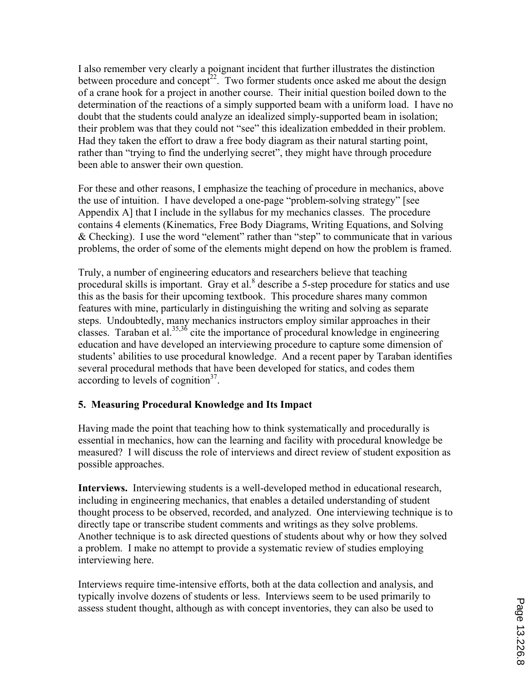I also remember very clearly a poignant incident that further illustrates the distinction between procedure and concept<sup>22</sup>. Two former students once asked me about the design of a crane hook for a project in another course. Their initial question boiled down to the determination of the reactions of a simply supported beam with a uniform load. I have no doubt that the students could analyze an idealized simply-supported beam in isolation; their problem was that they could not "see" this idealization embedded in their problem. Had they taken the effort to draw a free body diagram as their natural starting point, rather than "trying to find the underlying secret", they might have through procedure been able to answer their own question.

For these and other reasons, I emphasize the teaching of procedure in mechanics, above the use of intuition. I have developed a one-page "problem-solving strategy" [see Appendix A] that I include in the syllabus for my mechanics classes. The procedure contains 4 elements (Kinematics, Free Body Diagrams, Writing Equations, and Solving & Checking). I use the word "element" rather than "step" to communicate that in various problems, the order of some of the elements might depend on how the problem is framed.

Truly, a number of engineering educators and researchers believe that teaching procedural skills is important. Gray et al.<sup>8</sup> describe a 5-step procedure for statics and use this as the basis for their upcoming textbook. This procedure shares many common features with mine, particularly in distinguishing the writing and solving as separate steps. Undoubtedly, many mechanics instructors employ similar approaches in their classes. Taraban et al.<sup>35,36</sup> cite the importance of procedural knowledge in engineering education and have developed an interviewing procedure to capture some dimension of students' abilities to use procedural knowledge. And a recent paper by Taraban identifies several procedural methods that have been developed for statics, and codes them according to levels of cognition $3^7$ .

## **5. Measuring Procedural Knowledge and Its Impact**

Having made the point that teaching how to think systematically and procedurally is essential in mechanics, how can the learning and facility with procedural knowledge be measured? I will discuss the role of interviews and direct review of student exposition as possible approaches.

**Interviews.** Interviewing students is a well-developed method in educational research, including in engineering mechanics, that enables a detailed understanding of student thought process to be observed, recorded, and analyzed. One interviewing technique is to directly tape or transcribe student comments and writings as they solve problems. Another technique is to ask directed questions of students about why or how they solved a problem. I make no attempt to provide a systematic review of studies employing interviewing here.

Interviews require time-intensive efforts, both at the data collection and analysis, and typically involve dozens of students or less. Interviews seem to be used primarily to assess student thought, although as with concept inventories, they can also be used to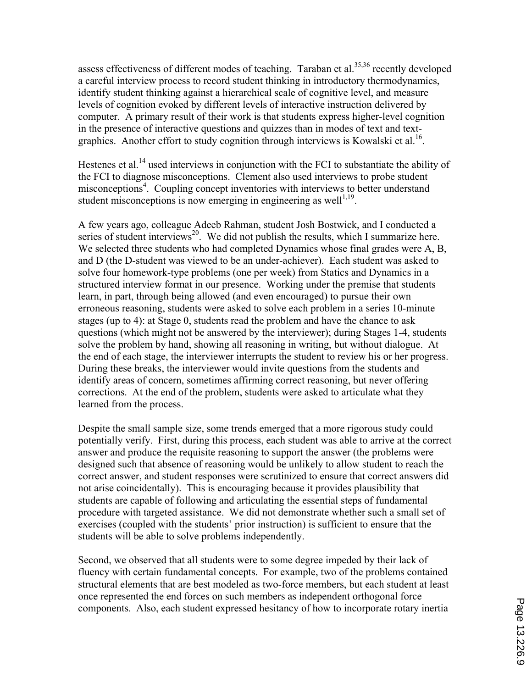assess effectiveness of different modes of teaching. Taraban et al. $35,36$  recently developed a careful interview process to record student thinking in introductory thermodynamics, identify student thinking against a hierarchical scale of cognitive level, and measure levels of cognition evoked by different levels of interactive instruction delivered by computer. A primary result of their work is that students express higher-level cognition in the presence of interactive questions and quizzes than in modes of text and textgraphics. Another effort to study cognition through interviews is Kowalski et al.<sup>16</sup>.

Hestenes et al.<sup>14</sup> used interviews in conjunction with the FCI to substantiate the ability of the FCI to diagnose misconceptions. Clement also used interviews to probe student misconceptions<sup>4</sup>. Coupling concept inventories with interviews to better understand student misconceptions is now emerging in engineering as well $1,19$ .

A few years ago, colleague Adeeb Rahman, student Josh Bostwick, and I conducted a series of student interviews<sup>20</sup>. We did not publish the results, which I summarize here. We selected three students who had completed Dynamics whose final grades were A, B, and D (the D-student was viewed to be an under-achiever). Each student was asked to solve four homework-type problems (one per week) from Statics and Dynamics in a structured interview format in our presence. Working under the premise that students learn, in part, through being allowed (and even encouraged) to pursue their own erroneous reasoning, students were asked to solve each problem in a series 10-minute stages (up to 4): at Stage 0, students read the problem and have the chance to ask questions (which might not be answered by the interviewer); during Stages 1-4, students solve the problem by hand, showing all reasoning in writing, but without dialogue. At the end of each stage, the interviewer interrupts the student to review his or her progress. During these breaks, the interviewer would invite questions from the students and identify areas of concern, sometimes affirming correct reasoning, but never offering corrections. At the end of the problem, students were asked to articulate what they learned from the process.

Despite the small sample size, some trends emerged that a more rigorous study could potentially verify. First, during this process, each student was able to arrive at the correct answer and produce the requisite reasoning to support the answer (the problems were designed such that absence of reasoning would be unlikely to allow student to reach the correct answer, and student responses were scrutinized to ensure that correct answers did not arise coincidentally). This is encouraging because it provides plausibility that students are capable of following and articulating the essential steps of fundamental procedure with targeted assistance. We did not demonstrate whether such a small set of exercises (coupled with the students' prior instruction) is sufficient to ensure that the students will be able to solve problems independently.

Second, we observed that all students were to some degree impeded by their lack of fluency with certain fundamental concepts. For example, two of the problems contained structural elements that are best modeled as two-force members, but each student at least once represented the end forces on such members as independent orthogonal force components. Also, each student expressed hesitancy of how to incorporate rotary inertia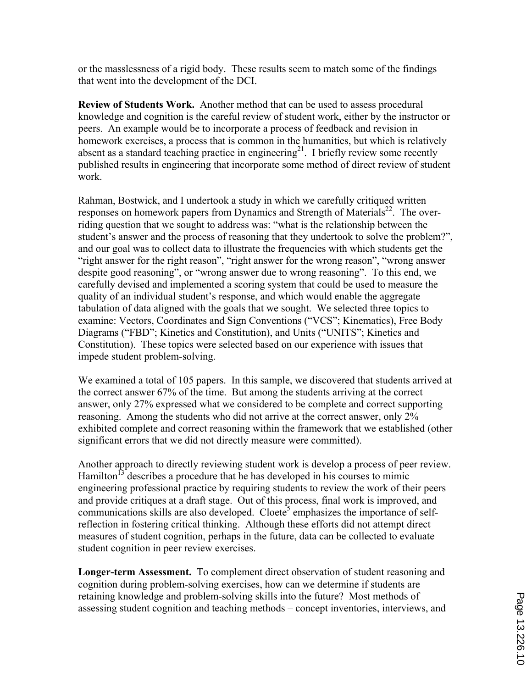or the masslessness of a rigid body. These results seem to match some of the findings that went into the development of the DCI.

**Review of Students Work.** Another method that can be used to assess procedural knowledge and cognition is the careful review of student work, either by the instructor or peers. An example would be to incorporate a process of feedback and revision in homework exercises, a process that is common in the humanities, but which is relatively absent as a standard teaching practice in engineering<sup>21</sup>. I briefly review some recently published results in engineering that incorporate some method of direct review of student work.

Rahman, Bostwick, and I undertook a study in which we carefully critiqued written responses on homework papers from Dynamics and Strength of Materials<sup>22</sup>. The overriding question that we sought to address was: "what is the relationship between the student's answer and the process of reasoning that they undertook to solve the problem?", and our goal was to collect data to illustrate the frequencies with which students get the "right answer for the right reason", "right answer for the wrong reason", "wrong answer despite good reasoning", or "wrong answer due to wrong reasoning". To this end, we carefully devised and implemented a scoring system that could be used to measure the quality of an individual student's response, and which would enable the aggregate tabulation of data aligned with the goals that we sought. We selected three topics to examine: Vectors, Coordinates and Sign Conventions ("VCS"; Kinematics), Free Body Diagrams ("FBD"; Kinetics and Constitution), and Units ("UNITS"; Kinetics and Constitution). These topics were selected based on our experience with issues that impede student problem-solving.

We examined a total of 105 papers. In this sample, we discovered that students arrived at the correct answer 67% of the time. But among the students arriving at the correct answer, only 27% expressed what we considered to be complete and correct supporting reasoning. Among the students who did not arrive at the correct answer, only 2% exhibited complete and correct reasoning within the framework that we established (other significant errors that we did not directly measure were committed).

Another approach to directly reviewing student work is develop a process of peer review. Hamilton<sup>13</sup> describes a procedure that he has developed in his courses to mimic engineering professional practice by requiring students to review the work of their peers and provide critiques at a draft stage. Out of this process, final work is improved, and communications skills are also developed. Cloete<sup>5</sup> emphasizes the importance of selfreflection in fostering critical thinking. Although these efforts did not attempt direct measures of student cognition, perhaps in the future, data can be collected to evaluate student cognition in peer review exercises.

**Longer-term Assessment.** To complement direct observation of student reasoning and cognition during problem-solving exercises, how can we determine if students are retaining knowledge and problem-solving skills into the future? Most methods of assessing student cognition and teaching methods – concept inventories, interviews, and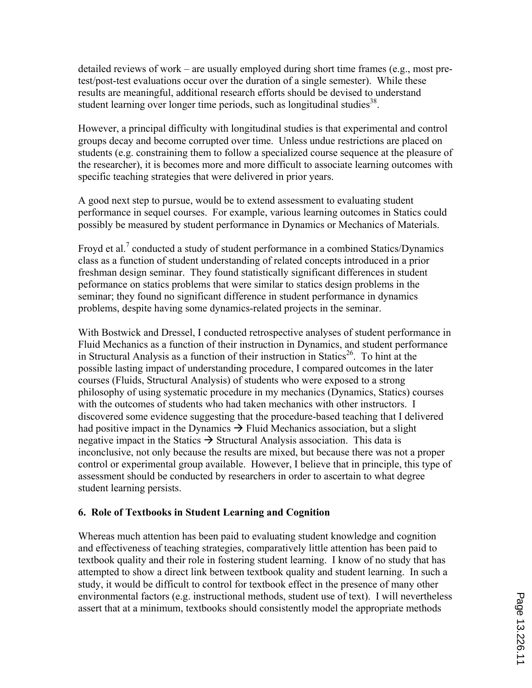detailed reviews of work – are usually employed during short time frames (e.g., most pretest/post-test evaluations occur over the duration of a single semester). While these results are meaningful, additional research efforts should be devised to understand student learning over longer time periods, such as longitudinal studies<sup>38</sup>.

However, a principal difficulty with longitudinal studies is that experimental and control groups decay and become corrupted over time. Unless undue restrictions are placed on students (e.g. constraining them to follow a specialized course sequence at the pleasure of the researcher), it is becomes more and more difficult to associate learning outcomes with specific teaching strategies that were delivered in prior years.

A good next step to pursue, would be to extend assessment to evaluating student performance in sequel courses. For example, various learning outcomes in Statics could possibly be measured by student performance in Dynamics or Mechanics of Materials.

Froyd et al.<sup>7</sup> conducted a study of student performance in a combined Statics/Dynamics class as a function of student understanding of related concepts introduced in a prior freshman design seminar. They found statistically significant differences in student peformance on statics problems that were similar to statics design problems in the seminar; they found no significant difference in student performance in dynamics problems, despite having some dynamics-related projects in the seminar.

With Bostwick and Dressel, I conducted retrospective analyses of student performance in Fluid Mechanics as a function of their instruction in Dynamics, and student performance in Structural Analysis as a function of their instruction in Statics<sup>26</sup>. To hint at the possible lasting impact of understanding procedure, I compared outcomes in the later courses (Fluids, Structural Analysis) of students who were exposed to a strong philosophy of using systematic procedure in my mechanics (Dynamics, Statics) courses with the outcomes of students who had taken mechanics with other instructors. I discovered some evidence suggesting that the procedure-based teaching that I delivered had positive impact in the Dynamics  $\rightarrow$  Fluid Mechanics association, but a slight negative impact in the Statics  $\rightarrow$  Structural Analysis association. This data is inconclusive, not only because the results are mixed, but because there was not a proper control or experimental group available. However, I believe that in principle, this type of assessment should be conducted by researchers in order to ascertain to what degree student learning persists.

## **6. Role of Textbooks in Student Learning and Cognition**

Whereas much attention has been paid to evaluating student knowledge and cognition and effectiveness of teaching strategies, comparatively little attention has been paid to textbook quality and their role in fostering student learning. I know of no study that has attempted to show a direct link between textbook quality and student learning. In such a study, it would be difficult to control for textbook effect in the presence of many other environmental factors (e.g. instructional methods, student use of text). I will nevertheless assert that at a minimum, textbooks should consistently model the appropriate methods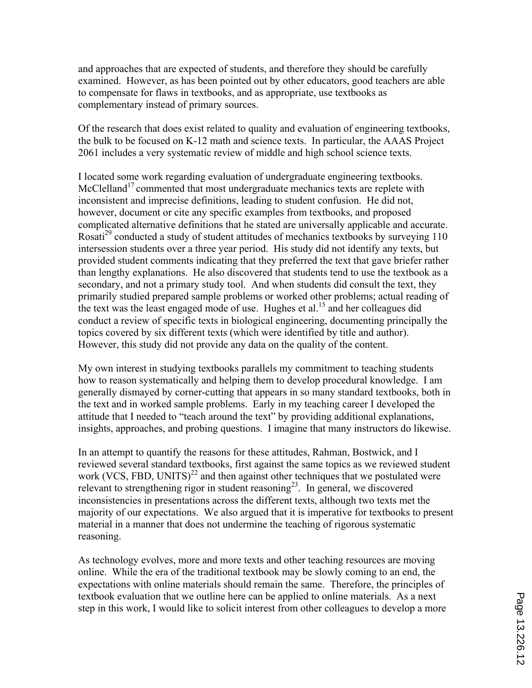and approaches that are expected of students, and therefore they should be carefully examined. However, as has been pointed out by other educators, good teachers are able to compensate for flaws in textbooks, and as appropriate, use textbooks as complementary instead of primary sources.

Of the research that does exist related to quality and evaluation of engineering textbooks, the bulk to be focused on K-12 math and science texts. In particular, the AAAS Project 2061 includes a very systematic review of middle and high school science texts.

I located some work regarding evaluation of undergraduate engineering textbooks. McClelland<sup>17</sup> commented that most undergraduate mechanics texts are replete with inconsistent and imprecise definitions, leading to student confusion. He did not, however, document or cite any specific examples from textbooks, and proposed complicated alternative definitions that he stated are universally applicable and accurate. Rosati<sup>29</sup> conducted a study of student attitudes of mechanics textbooks by surveying 110 intersession students over a three year period. His study did not identify any texts, but provided student comments indicating that they preferred the text that gave briefer rather than lengthy explanations. He also discovered that students tend to use the textbook as a secondary, and not a primary study tool. And when students did consult the text, they primarily studied prepared sample problems or worked other problems; actual reading of the text was the least engaged mode of use. Hughes et al.<sup>15</sup> and her colleagues did conduct a review of specific texts in biological engineering, documenting principally the topics covered by six different texts (which were identified by title and author). However, this study did not provide any data on the quality of the content.

My own interest in studying textbooks parallels my commitment to teaching students how to reason systematically and helping them to develop procedural knowledge. I am generally dismayed by corner-cutting that appears in so many standard textbooks, both in the text and in worked sample problems. Early in my teaching career I developed the attitude that I needed to "teach around the text" by providing additional explanations, insights, approaches, and probing questions. I imagine that many instructors do likewise.

In an attempt to quantify the reasons for these attitudes, Rahman, Bostwick, and I reviewed several standard textbooks, first against the same topics as we reviewed student work (VCS, FBD, UNITS)<sup>22</sup> and then against other techniques that we postulated were relevant to strengthening rigor in student reasoning<sup>23</sup>. In general, we discovered inconsistencies in presentations across the different texts, although two texts met the majority of our expectations. We also argued that it is imperative for textbooks to present material in a manner that does not undermine the teaching of rigorous systematic reasoning.

As technology evolves, more and more texts and other teaching resources are moving online. While the era of the traditional textbook may be slowly coming to an end, the expectations with online materials should remain the same. Therefore, the principles of textbook evaluation that we outline here can be applied to online materials. As a next step in this work, I would like to solicit interest from other colleagues to develop a more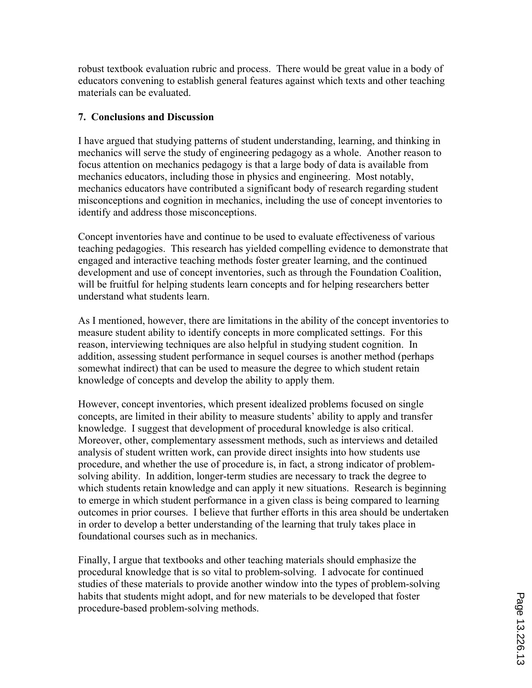robust textbook evaluation rubric and process. There would be great value in a body of educators convening to establish general features against which texts and other teaching materials can be evaluated.

## **7. Conclusions and Discussion**

I have argued that studying patterns of student understanding, learning, and thinking in mechanics will serve the study of engineering pedagogy as a whole. Another reason to focus attention on mechanics pedagogy is that a large body of data is available from mechanics educators, including those in physics and engineering. Most notably, mechanics educators have contributed a significant body of research regarding student misconceptions and cognition in mechanics, including the use of concept inventories to identify and address those misconceptions.

Concept inventories have and continue to be used to evaluate effectiveness of various teaching pedagogies. This research has yielded compelling evidence to demonstrate that engaged and interactive teaching methods foster greater learning, and the continued development and use of concept inventories, such as through the Foundation Coalition, will be fruitful for helping students learn concepts and for helping researchers better understand what students learn.

As I mentioned, however, there are limitations in the ability of the concept inventories to measure student ability to identify concepts in more complicated settings. For this reason, interviewing techniques are also helpful in studying student cognition. In addition, assessing student performance in sequel courses is another method (perhaps somewhat indirect) that can be used to measure the degree to which student retain knowledge of concepts and develop the ability to apply them.

However, concept inventories, which present idealized problems focused on single concepts, are limited in their ability to measure students' ability to apply and transfer knowledge. I suggest that development of procedural knowledge is also critical. Moreover, other, complementary assessment methods, such as interviews and detailed analysis of student written work, can provide direct insights into how students use procedure, and whether the use of procedure is, in fact, a strong indicator of problemsolving ability. In addition, longer-term studies are necessary to track the degree to which students retain knowledge and can apply it new situations. Research is beginning to emerge in which student performance in a given class is being compared to learning outcomes in prior courses. I believe that further efforts in this area should be undertaken in order to develop a better understanding of the learning that truly takes place in foundational courses such as in mechanics.

Finally, I argue that textbooks and other teaching materials should emphasize the procedural knowledge that is so vital to problem-solving. I advocate for continued studies of these materials to provide another window into the types of problem-solving habits that students might adopt, and for new materials to be developed that foster procedure-based problem-solving methods.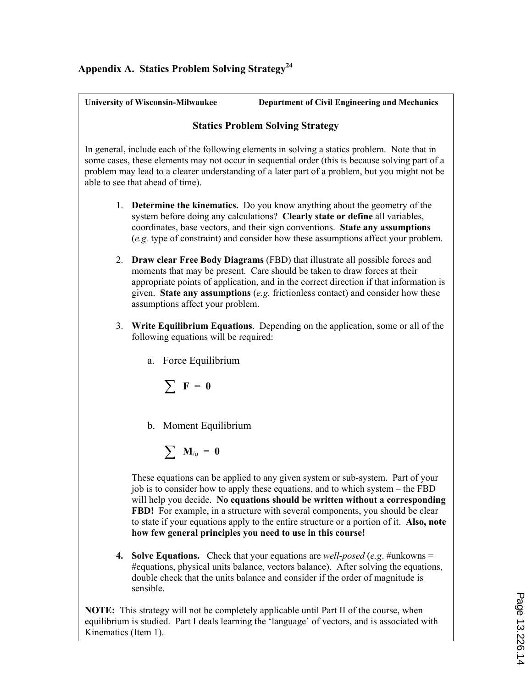# **Appendix A. Statics Problem Solving Strategy<sup>24</sup>**

| <b>University of Wisconsin-Milwaukee</b>                                                                                                                                                                                                                                                                                                                                     | <b>Department of Civil Engineering and Mechanics</b>                                                                                                                                                                                                                                                                                                                                                                                                                                       |  |  |
|------------------------------------------------------------------------------------------------------------------------------------------------------------------------------------------------------------------------------------------------------------------------------------------------------------------------------------------------------------------------------|--------------------------------------------------------------------------------------------------------------------------------------------------------------------------------------------------------------------------------------------------------------------------------------------------------------------------------------------------------------------------------------------------------------------------------------------------------------------------------------------|--|--|
|                                                                                                                                                                                                                                                                                                                                                                              | <b>Statics Problem Solving Strategy</b>                                                                                                                                                                                                                                                                                                                                                                                                                                                    |  |  |
| able to see that ahead of time).                                                                                                                                                                                                                                                                                                                                             | In general, include each of the following elements in solving a statics problem. Note that in<br>some cases, these elements may not occur in sequential order (this is because solving part of a<br>problem may lead to a clearer understanding of a later part of a problem, but you might not be                                                                                                                                                                                         |  |  |
|                                                                                                                                                                                                                                                                                                                                                                              | 1. <b>Determine the kinematics.</b> Do you know anything about the geometry of the<br>system before doing any calculations? Clearly state or define all variables,<br>coordinates, base vectors, and their sign conventions. State any assumptions<br>(e.g. type of constraint) and consider how these assumptions affect your problem.                                                                                                                                                    |  |  |
| 2. Draw clear Free Body Diagrams (FBD) that illustrate all possible forces and<br>moments that may be present. Care should be taken to draw forces at their<br>appropriate points of application, and in the correct direction if that information is<br>given. State any assumptions (e.g. frictionless contact) and consider how these<br>assumptions affect your problem. |                                                                                                                                                                                                                                                                                                                                                                                                                                                                                            |  |  |
| 3.<br>following equations will be required:                                                                                                                                                                                                                                                                                                                                  | Write Equilibrium Equations. Depending on the application, some or all of the                                                                                                                                                                                                                                                                                                                                                                                                              |  |  |
| a. Force Equilibrium                                                                                                                                                                                                                                                                                                                                                         |                                                                                                                                                                                                                                                                                                                                                                                                                                                                                            |  |  |
| $\sum$ F = 0                                                                                                                                                                                                                                                                                                                                                                 |                                                                                                                                                                                                                                                                                                                                                                                                                                                                                            |  |  |
| b. Moment Equilibrium                                                                                                                                                                                                                                                                                                                                                        |                                                                                                                                                                                                                                                                                                                                                                                                                                                                                            |  |  |
| $\sum \mathbf{M}_{\text{o}} = \mathbf{0}$                                                                                                                                                                                                                                                                                                                                    |                                                                                                                                                                                                                                                                                                                                                                                                                                                                                            |  |  |
|                                                                                                                                                                                                                                                                                                                                                                              | These equations can be applied to any given system or sub-system. Part of your<br>job is to consider how to apply these equations, and to which system – the FBD<br>will help you decide. No equations should be written without a corresponding<br>FBD! For example, in a structure with several components, you should be clear<br>to state if your equations apply to the entire structure or a portion of it. Also, note<br>how few general principles you need to use in this course! |  |  |
| 4.<br>sensible.                                                                                                                                                                                                                                                                                                                                                              | <b>Solve Equations.</b> Check that your equations are <i>well-posed</i> (e.g. #unkowns =<br>#equations, physical units balance, vectors balance). After solving the equations,<br>double check that the units balance and consider if the order of magnitude is                                                                                                                                                                                                                            |  |  |

**NOTE:** This strategy will not be completely applicable until Part II of the course, when equilibrium is studied. Part I deals learning the 'language' of vectors, and is associated with Kinematics (Item 1).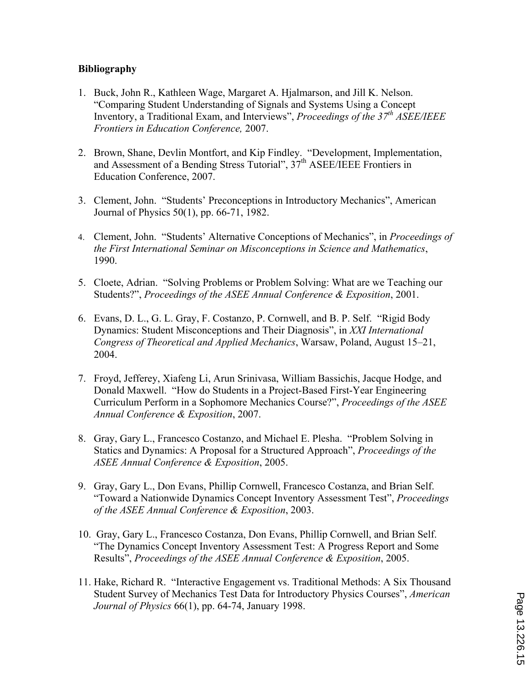## **Bibliography**

- 1. Buck, John R., Kathleen Wage, Margaret A. Hjalmarson, and Jill K. Nelson. "Comparing Student Understanding of Signals and Systems Using a Concept Inventory, a Traditional Exam, and Interviews", *Proceedings of the 37th ASEE/IEEE Frontiers in Education Conference,* 2007.
- 2. Brown, Shane, Devlin Montfort, and Kip Findley. "Development, Implementation, and Assessment of a Bending Stress Tutorial",  $37<sup>th</sup>$  ASEE/IEEE Frontiers in Education Conference, 2007.
- 3. Clement, John. "Students' Preconceptions in Introductory Mechanics", American Journal of Physics 50(1), pp. 66-71, 1982.
- 4. Clement, John. "Students' Alternative Conceptions of Mechanics", in *Proceedings of the First International Seminar on Misconceptions in Science and Mathematics*, 1990.
- 5. Cloete, Adrian. "Solving Problems or Problem Solving: What are we Teaching our Students?", *Proceedings of the ASEE Annual Conference & Exposition*, 2001.
- 6. Evans, D. L., G. L. Gray, F. Costanzo, P. Cornwell, and B. P. Self. "Rigid Body Dynamics: Student Misconceptions and Their Diagnosis", in *XXI International Congress of Theoretical and Applied Mechanics*, Warsaw, Poland, August 15–21, 2004.
- 7. Froyd, Jefferey, Xiafeng Li, Arun Srinivasa, William Bassichis, Jacque Hodge, and Donald Maxwell. "How do Students in a Project-Based First-Year Engineering Curriculum Perform in a Sophomore Mechanics Course?", *Proceedings of the ASEE Annual Conference & Exposition*, 2007.
- 8. Gray, Gary L., Francesco Costanzo, and Michael E. Plesha. "Problem Solving in Statics and Dynamics: A Proposal for a Structured Approach", *Proceedings of the ASEE Annual Conference & Exposition*, 2005.
- 9. Gray, Gary L., Don Evans, Phillip Cornwell, Francesco Costanza, and Brian Self. "Toward a Nationwide Dynamics Concept Inventory Assessment Test", *Proceedings of the ASEE Annual Conference & Exposition*, 2003.
- 10. Gray, Gary L., Francesco Costanza, Don Evans, Phillip Cornwell, and Brian Self. "The Dynamics Concept Inventory Assessment Test: A Progress Report and Some Results", *Proceedings of the ASEE Annual Conference & Exposition*, 2005.
- 11. Hake, Richard R. "Interactive Engagement vs. Traditional Methods: A Six Thousand Student Survey of Mechanics Test Data for Introductory Physics Courses", *American Journal of Physics* 66(1), pp. 64-74, January 1998.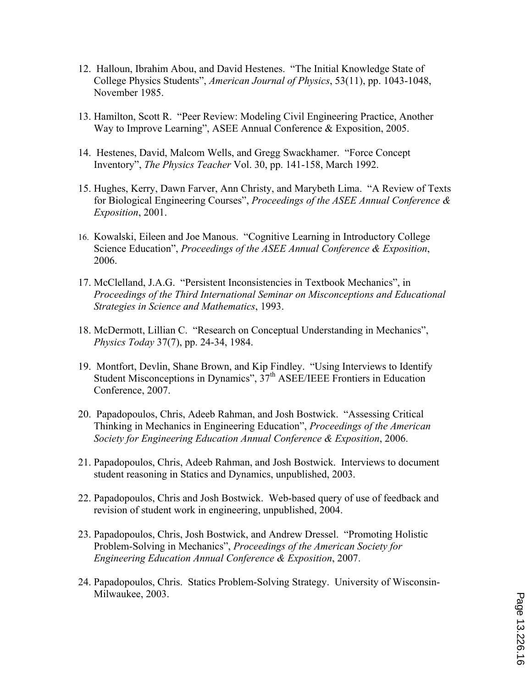- 12. Halloun, Ibrahim Abou, and David Hestenes. "The Initial Knowledge State of College Physics Students", *American Journal of Physics*, 53(11), pp. 1043-1048, November 1985.
- 13. Hamilton, Scott R. "Peer Review: Modeling Civil Engineering Practice, Another Way to Improve Learning", ASEE Annual Conference & Exposition, 2005.
- 14. Hestenes, David, Malcom Wells, and Gregg Swackhamer. "Force Concept Inventory", *The Physics Teacher* Vol. 30, pp. 141-158, March 1992.
- 15. Hughes, Kerry, Dawn Farver, Ann Christy, and Marybeth Lima. "A Review of Texts for Biological Engineering Courses", *Proceedings of the ASEE Annual Conference & Exposition*, 2001.
- 16. Kowalski, Eileen and Joe Manous. "Cognitive Learning in Introductory College Science Education", *Proceedings of the ASEE Annual Conference & Exposition*, 2006.
- 17. McClelland, J.A.G. "Persistent Inconsistencies in Textbook Mechanics", in *Proceedings of the Third International Seminar on Misconceptions and Educational Strategies in Science and Mathematics*, 1993.
- 18. McDermott, Lillian C. "Research on Conceptual Understanding in Mechanics", *Physics Today* 37(7), pp. 24-34, 1984.
- 19. Montfort, Devlin, Shane Brown, and Kip Findley. "Using Interviews to Identify Student Misconceptions in Dynamics",  $37<sup>th</sup>$  ASEE/IEEE Frontiers in Education Conference, 2007.
- 20. Papadopoulos, Chris, Adeeb Rahman, and Josh Bostwick. "Assessing Critical Thinking in Mechanics in Engineering Education", *Proceedings of the American Society for Engineering Education Annual Conference & Exposition*, 2006.
- 21. Papadopoulos, Chris, Adeeb Rahman, and Josh Bostwick. Interviews to document student reasoning in Statics and Dynamics, unpublished, 2003.
- 22. Papadopoulos, Chris and Josh Bostwick. Web-based query of use of feedback and revision of student work in engineering, unpublished, 2004.
- 23. Papadopoulos, Chris, Josh Bostwick, and Andrew Dressel. "Promoting Holistic Problem-Solving in Mechanics", *Proceedings of the American Society for Engineering Education Annual Conference & Exposition*, 2007.
- 24. Papadopoulos, Chris. Statics Problem-Solving Strategy. University of Wisconsin-Milwaukee, 2003.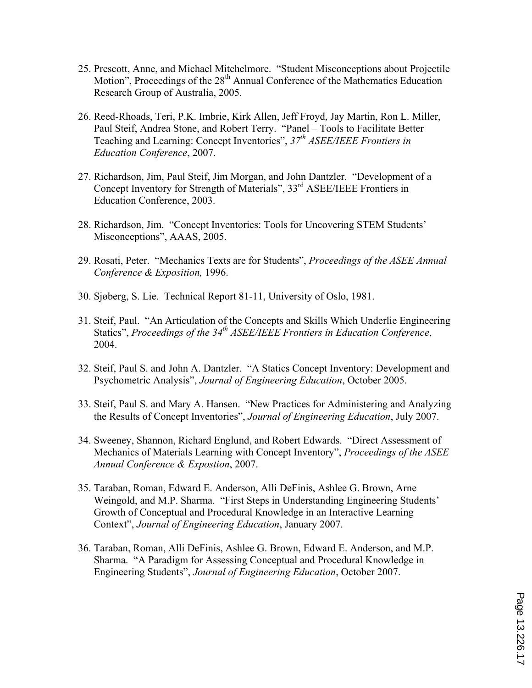- 25. Prescott, Anne, and Michael Mitchelmore. "Student Misconceptions about Projectile Motion", Proceedings of the 28<sup>th</sup> Annual Conference of the Mathematics Education Research Group of Australia, 2005.
- 26. Reed-Rhoads, Teri, P.K. Imbrie, Kirk Allen, Jeff Froyd, Jay Martin, Ron L. Miller, Paul Steif, Andrea Stone, and Robert Terry. "Panel – Tools to Facilitate Better Teaching and Learning: Concept Inventories", *37th ASEE/IEEE Frontiers in Education Conference*, 2007.
- 27. Richardson, Jim, Paul Steif, Jim Morgan, and John Dantzler. "Development of a Concept Inventory for Strength of Materials", 33<sup>rd</sup> ASEE/IEEE Frontiers in Education Conference, 2003.
- 28. Richardson, Jim. "Concept Inventories: Tools for Uncovering STEM Students' Misconceptions", AAAS, 2005.
- 29. Rosati, Peter. "Mechanics Texts are for Students", *Proceedings of the ASEE Annual Conference & Exposition,* 1996.
- 30. Sjøberg, S. Lie. Technical Report 81-11, University of Oslo, 1981.
- 31. Steif, Paul. "An Articulation of the Concepts and Skills Which Underlie Engineering Statics", *Proceedings of the 34th ASEE/IEEE Frontiers in Education Conference*, 2004.
- 32. Steif, Paul S. and John A. Dantzler. "A Statics Concept Inventory: Development and Psychometric Analysis", *Journal of Engineering Education*, October 2005.
- 33. Steif, Paul S. and Mary A. Hansen. "New Practices for Administering and Analyzing the Results of Concept Inventories", *Journal of Engineering Education*, July 2007.
- 34. Sweeney, Shannon, Richard Englund, and Robert Edwards. "Direct Assessment of Mechanics of Materials Learning with Concept Inventory", *Proceedings of the ASEE Annual Conference & Expostion*, 2007.
- 35. Taraban, Roman, Edward E. Anderson, Alli DeFinis, Ashlee G. Brown, Arne Weingold, and M.P. Sharma. "First Steps in Understanding Engineering Students' Growth of Conceptual and Procedural Knowledge in an Interactive Learning Context", *Journal of Engineering Education*, January 2007.
- 36. Taraban, Roman, Alli DeFinis, Ashlee G. Brown, Edward E. Anderson, and M.P. Sharma. "A Paradigm for Assessing Conceptual and Procedural Knowledge in Engineering Students", *Journal of Engineering Education*, October 2007.